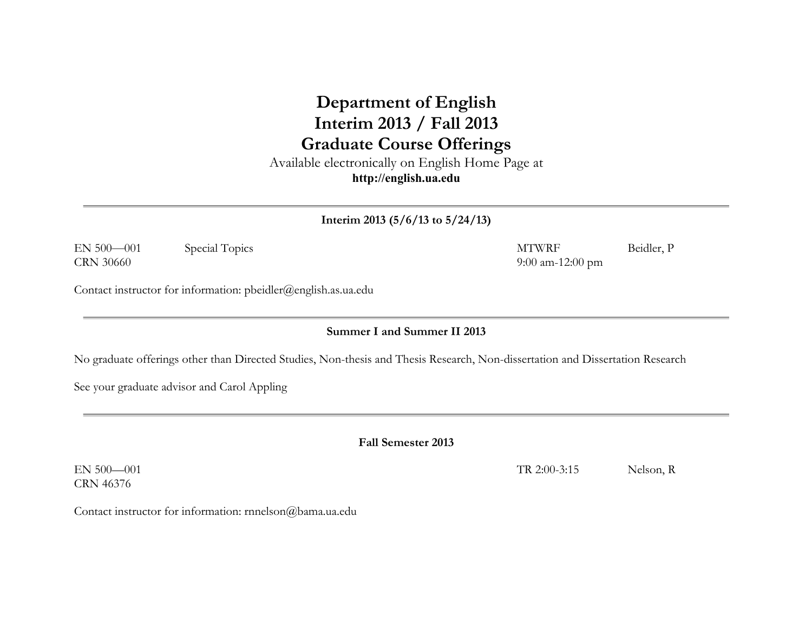## **Department of English Interim 2013 / Fall 2013 Graduate Course Offerings**

Available electronically on English Home Page at **http://english.ua.edu**

**Interim 2013 (5/6/13 to 5/24/13)**

EN 500—001 Special Topics MTWRF Beidler, P CRN 30660 9:00 am-12:00 pm

Contact instructor for information: pbeidler@english.as.ua.edu

**Summer I and Summer II 2013**

No graduate offerings other than Directed Studies, Non-thesis and Thesis Research, Non-dissertation and Dissertation Research

See your graduate advisor and Carol Appling

**Fall Semester 2013**

EN 500—001 TR 2:00-3:15 Nelson, R CRN 46376

Contact instructor for information: rnnelson@bama.ua.edu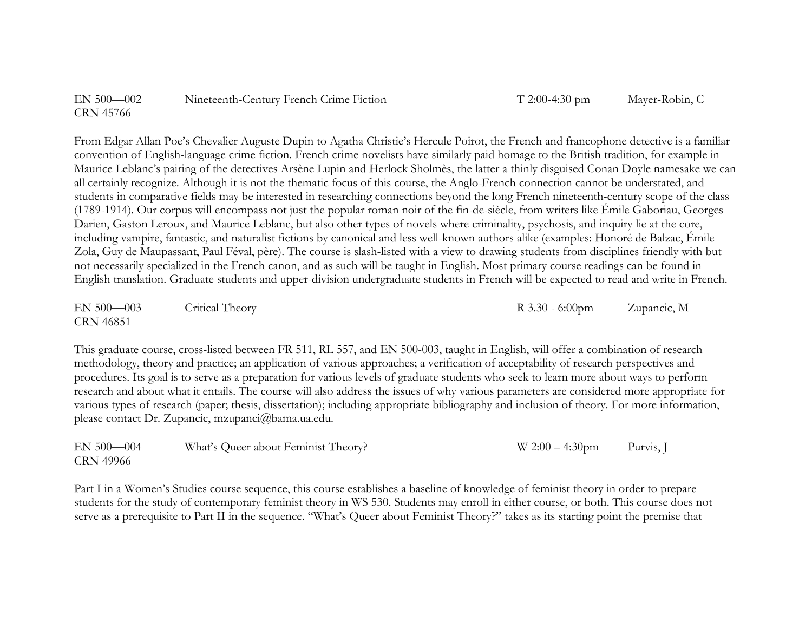| $EN 500 - 002$ | Nineteenth-Century French Crime Fiction |
|----------------|-----------------------------------------|
| CRN 45766      |                                         |

 $T$  2:00-4:30 pm Mayer-Robin, C

From Edgar Allan Poe's Chevalier Auguste Dupin to Agatha Christie's Hercule Poirot, the French and francophone detective is a familiar convention of English-language crime fiction. French crime novelists have similarly paid homage to the British tradition, for example in Maurice Leblanc's pairing of the detectives Arsène Lupin and Herlock Sholmès, the latter a thinly disguised Conan Doyle namesake we can all certainly recognize. Although it is not the thematic focus of this course, the Anglo-French connection cannot be understated, and students in comparative fields may be interested in researching connections beyond the long French nineteenth-century scope of the class (1789-1914). Our corpus will encompass not just the popular roman noir of the fin-de-siècle, from writers like Émile Gaboriau, Georges Darien, Gaston Leroux, and Maurice Leblanc, but also other types of novels where criminality, psychosis, and inquiry lie at the core, including vampire, fantastic, and naturalist fictions by canonical and less well-known authors alike (examples: Honoré de Balzac, Émile Zola, Guy de Maupassant, Paul Féval, père). The course is slash-listed with a view to drawing students from disciplines friendly with but not necessarily specialized in the French canon, and as such will be taught in English. Most primary course readings can be found in English translation. Graduate students and upper-division undergraduate students in French will be expected to read and write in French.

EN 500—003 Critical Theory R 3.30 - 6:00pm Zupancic, M CRN 46851

This graduate course, cross-listed between FR 511, RL 557, and EN 500-003, taught in English, will offer a combination of research methodology, theory and practice; an application of various approaches; a verification of acceptability of research perspectives and procedures. Its goal is to serve as a preparation for various levels of graduate students who seek to learn more about ways to perform research and about what it entails. The course will also address the issues of why various parameters are considered more appropriate for various types of research (paper; thesis, dissertation); including appropriate bibliography and inclusion of theory. For more information, please contact Dr. Zupancic, mzupanci@bama.ua.edu.

| $EN 500 - 004$   | What's Queer about Feminist Theory? | $W 2:00 - 4:30$ pm | Purvis, J |
|------------------|-------------------------------------|--------------------|-----------|
| <b>CRN 49966</b> |                                     |                    |           |

Part I in a Women's Studies course sequence, this course establishes a baseline of knowledge of feminist theory in order to prepare students for the study of contemporary feminist theory in WS 530. Students may enroll in either course, or both. This course does not serve as a prerequisite to Part II in the sequence. "What's Queer about Feminist Theory?" takes as its starting point the premise that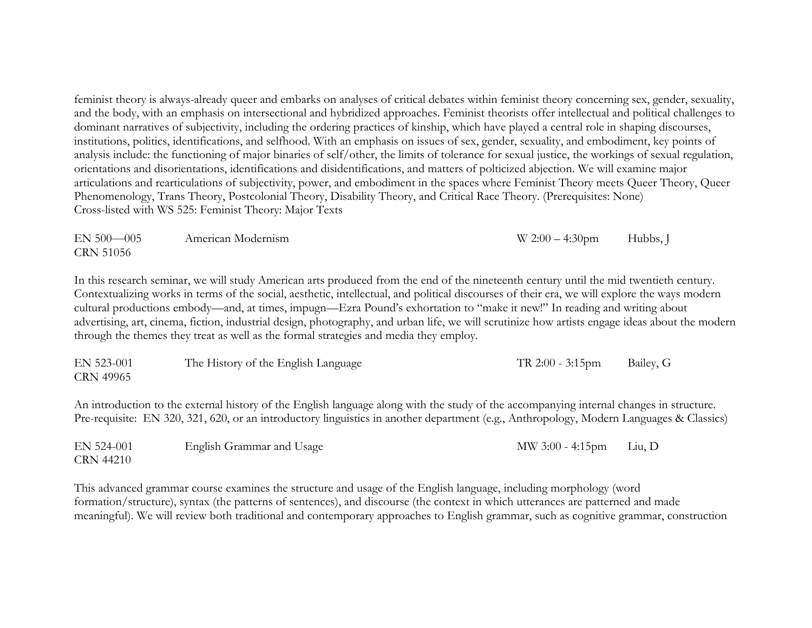feminist theory is always-already queer and embarks on analyses of critical debates within feminist theory concerning sex, gender, sexuality, and the body, with an emphasis on intersectional and hybridized approaches. Feminist theorists offer intellectual and political challenges to dominant narratives of subjectivity, including the ordering practices of kinship, which have played a central role in shaping discourses, institutions, politics, identifications, and selfhood. With an emphasis on issues of sex, gender, sexuality, and embodiment, key points of analysis include: the functioning of major binaries of self/other, the limits of tolerance for sexual justice, the workings of sexual regulation, orientations and disorientations, identifications and disidentifications, and matters of polticized abjection. We will examine major articulations and rearticulations of subjectivity, power, and embodiment in the spaces where Feminist Theory meets Queer Theory, Queer Phenomenology, Trans Theory, Postcolonial Theory, Disability Theory, and Critical Race Theory. (Prerequisites: None) Cross-listed with WS 525: Feminist Theory: Major Texts

| $EN 500 - 005$   | American Modernism | $W 2:00 - 4:30$ pm | Hubbs, J |
|------------------|--------------------|--------------------|----------|
| <b>CRN 51056</b> |                    |                    |          |

In this research seminar, we will study American arts produced from the end of the nineteenth century until the mid twentieth century. Contextualizing works in terms of the social, aesthetic, intellectual, and political discourses of their era, we will explore the ways modern cultural productions embody—and, at times, impugn—Ezra Pound's exhortation to "make it new!" In reading and writing about advertising, art, cinema, fiction, industrial design, photography, and urban life, we will scrutinize how artists engage ideas about the modern through the themes they treat as well as the formal strategies and media they employ.

| EN 523-001 | The History of the English Language | $TR 2:00 - 3:15 \text{pm}$ | Bailey, G |
|------------|-------------------------------------|----------------------------|-----------|
| CRN 49965  |                                     |                            |           |

An introduction to the external history of the English language along with the study of the accompanying internal changes in structure. Pre-requisite: EN 320, 321, 620, or an introductory linguistics in another department (e.g., Anthropology, Modern Languages & Classics)

| EN 524-001       | English Grammar and Usage | MW 3:00 - 4:15pm Liu, D |  |
|------------------|---------------------------|-------------------------|--|
| <b>CRN 44210</b> |                           |                         |  |

This advanced grammar course examines the structure and usage of the English language, including morphology (word formation/structure), syntax (the patterns of sentences), and discourse (the context in which utterances are patterned and made meaningful). We will review both traditional and contemporary approaches to English grammar, such as cognitive grammar, construction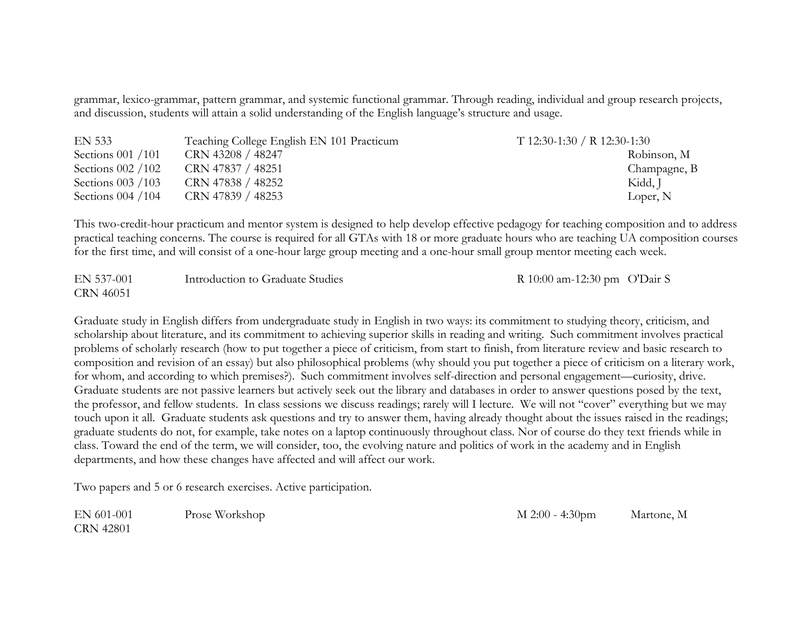grammar, lexico-grammar, pattern grammar, and systemic functional grammar. Through reading, individual and group research projects, and discussion, students will attain a solid understanding of the English language's structure and usage.

| <b>EN 533</b>        | Teaching College English EN 101 Practicum | $T$ 12:30-1:30 / R 12:30-1:30 |
|----------------------|-------------------------------------------|-------------------------------|
| Sections $001 / 101$ | CRN 43208 / 48247                         | Robinson, M                   |
| Sections $002 / 102$ | CRN 47837 / 48251                         | Champagne, B                  |
| Sections $003 / 103$ | CRN 47838 / 48252                         | Kidd, J                       |
| Sections $004 / 104$ | CRN 47839 / 48253                         | Loper, N                      |

This two-credit-hour practicum and mentor system is designed to help develop effective pedagogy for teaching composition and to address practical teaching concerns. The course is required for all GTAs with 18 or more graduate hours who are teaching UA composition courses for the first time, and will consist of a one-hour large group meeting and a one-hour small group mentor meeting each week.

| EN 537-001       | Introduction to Graduate Studies | R 10:00 am-12:30 pm $O'Dair S$ |  |
|------------------|----------------------------------|--------------------------------|--|
| <b>CRN 46051</b> |                                  |                                |  |

Graduate study in English differs from undergraduate study in English in two ways: its commitment to studying theory, criticism, and scholarship about literature, and its commitment to achieving superior skills in reading and writing. Such commitment involves practical problems of scholarly research (how to put together a piece of criticism, from start to finish, from literature review and basic research to composition and revision of an essay) but also philosophical problems (why should you put together a piece of criticism on a literary work, for whom, and according to which premises?). Such commitment involves self-direction and personal engagement—curiosity, drive. Graduate students are not passive learners but actively seek out the library and databases in order to answer questions posed by the text, the professor, and fellow students. In class sessions we discuss readings; rarely will I lecture. We will not "cover" everything but we may touch upon it all. Graduate students ask questions and try to answer them, having already thought about the issues raised in the readings; graduate students do not, for example, take notes on a laptop continuously throughout class. Nor of course do they text friends while in class. Toward the end of the term, we will consider, too, the evolving nature and politics of work in the academy and in English departments, and how these changes have affected and will affect our work.

Two papers and 5 or 6 research exercises. Active participation.

EN 601-001 Prose Workshop M 2:00 - 4:30pm Martone, M CRN 42801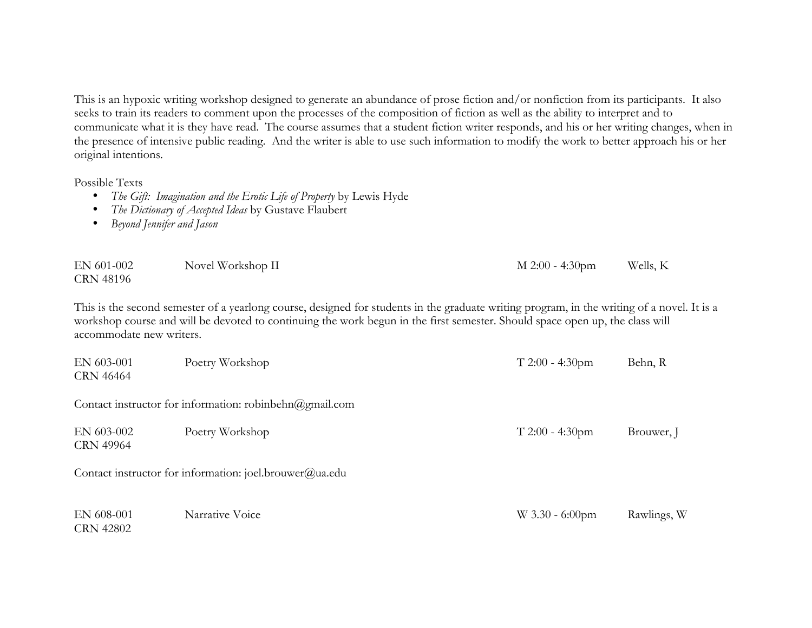This is an hypoxic writing workshop designed to generate an abundance of prose fiction and/or nonfiction from its participants. It also seeks to train its readers to comment upon the processes of the composition of fiction as well as the ability to interpret and to communicate what it is they have read. The course assumes that a student fiction writer responds, and his or her writing changes, when in the presence of intensive public reading. And the writer is able to use such information to modify the work to better approach his or her original intentions.

Possible Texts

- *The Gift: Imagination and the Erotic Life of Property* by Lewis Hyde
- *The Dictionary of Accepted Ideas* by Gustave Flaubert
- *Beyond Jennifer and Jason*

| EN 601-002 | Novel Workshop II | M 2:00 - 4:30pm | Wells, K |
|------------|-------------------|-----------------|----------|
| CRN 48196  |                   |                 |          |

This is the second semester of a yearlong course, designed for students in the graduate writing program, in the writing of a novel. It is a workshop course and will be devoted to continuing the work begun in the first semester. Should space open up, the class will accommodate new writers.

| EN 603-001<br>CRN 46464        | Poetry Workshop                                         | $T 2:00 - 4:30$ pm | Behn, R     |
|--------------------------------|---------------------------------------------------------|--------------------|-------------|
|                                | Contact instructor for information: robinbehn@gmail.com |                    |             |
| EN 603-002<br><b>CRN 49964</b> | Poetry Workshop                                         | $T 2:00 - 4:30$ pm | Brouwer, J  |
|                                | Contact instructor for information: joel.brouwer@ua.edu |                    |             |
| EN 608-001<br><b>CRN 42802</b> | Narrative Voice                                         | $W$ 3.30 - 6:00pm  | Rawlings, W |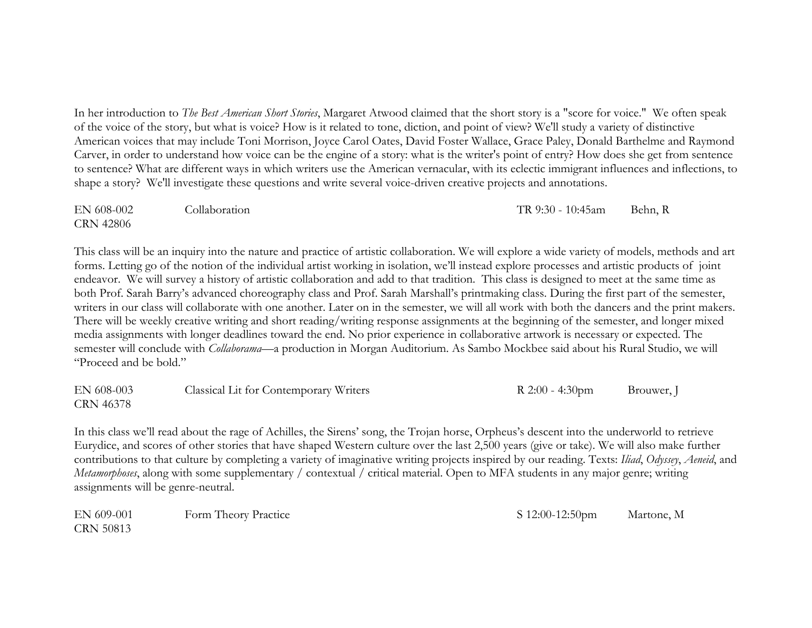In her introduction to *The Best American Short Stories*, Margaret Atwood claimed that the short story is a "score for voice." We often speak of the voice of the story, but what is voice? How is it related to tone, diction, and point of view? We'll study a variety of distinctive American voices that may include Toni Morrison, Joyce Carol Oates, David Foster Wallace, Grace Paley, Donald Barthelme and Raymond Carver, in order to understand how voice can be the engine of a story: what is the writer's point of entry? How does she get from sentence to sentence? What are different ways in which writers use the American vernacular, with its eclectic immigrant influences and inflections, to shape a story? We'll investigate these questions and write several voice-driven creative projects and annotations.

EN 608-002 Collaboration TR 9:30 - 10:45am Behn, R CRN 42806

This class will be an inquiry into the nature and practice of artistic collaboration. We will explore a wide variety of models, methods and art forms. Letting go of the notion of the individual artist working in isolation, we'll instead explore processes and artistic products of joint endeavor. We will survey a history of artistic collaboration and add to that tradition. This class is designed to meet at the same time as both Prof. Sarah Barry's advanced choreography class and Prof. Sarah Marshall's printmaking class. During the first part of the semester, writers in our class will collaborate with one another. Later on in the semester, we will all work with both the dancers and the print makers. There will be weekly creative writing and short reading/writing response assignments at the beginning of the semester, and longer mixed media assignments with longer deadlines toward the end. No prior experience in collaborative artwork is necessary or expected. The semester will conclude with *Collaborama*—a production in Morgan Auditorium. As Sambo Mockbee said about his Rural Studio, we will "Proceed and be bold."

EN 608-003 Classical Lit for Contemporary Writers R 2:00 - 4:30pm Brouwer, J CRN 46378

In this class we'll read about the rage of Achilles, the Sirens' song, the Trojan horse, Orpheus's descent into the underworld to retrieve Eurydice, and scores of other stories that have shaped Western culture over the last 2,500 years (give or take). We will also make further contributions to that culture by completing a variety of imaginative writing projects inspired by our reading. Texts: *Iliad*, *Odyssey*, *Aeneid*, and *Metamorphoses*, along with some supplementary / contextual / critical material. Open to MFA students in any major genre; writing assignments will be genre-neutral.

EN 609-001 Form Theory Practice S 12:00-12:50pm Martone, M CRN 50813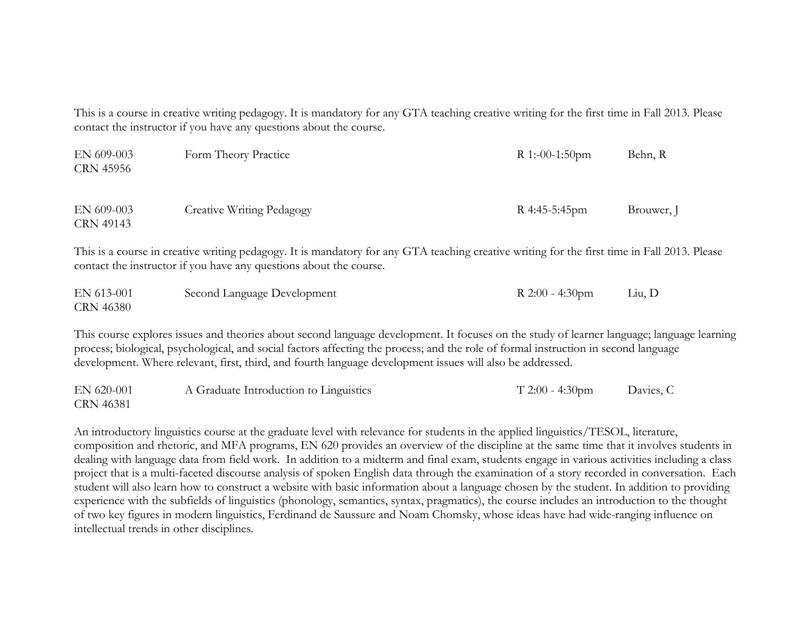This is a course in creative writing pedagogy. It is mandatory for any GTA teaching creative writing for the first time in Fall 2013. Please contact the instructor if you have any questions about the course.

| EN 609-003<br>CRN 45956 | Form Theory Practice      | R 1:-00-1:50pm | Behn, R    |
|-------------------------|---------------------------|----------------|------------|
| EN 609-003<br>CRN 49143 | Creative Writing Pedagogy | R 4:45-5:45pm  | Brouwer, J |

This is a course in creative writing pedagogy. It is mandatory for any GTA teaching creative writing for the first time in Fall 2013. Please contact the instructor if you have any questions about the course.

| EN 613-001 | Second Language Development | R $2:00 - 4:30$ pm | Liu, D |
|------------|-----------------------------|--------------------|--------|
| CRN 46380  |                             |                    |        |

This course explores issues and theories about second language development. It focuses on the study of learner language; language learning process; biological, psychological, and social factors affecting the process; and the role of formal instruction in second language development. Where relevant, first, third, and fourth language development issues will also be addressed.

| EN 620-001       | A Graduate Introduction to Linguistics | $T 2:00 - 4:30 \text{pm}$ | Davies, C |
|------------------|----------------------------------------|---------------------------|-----------|
| <b>CRN 46381</b> |                                        |                           |           |

An introductory linguistics course at the graduate level with relevance for students in the applied linguistics/TESOL, literature, composition and rhetoric, and MFA programs, EN 620 provides an overview of the discipline at the same time that it involves students in dealing with language data from field work. In addition to a midterm and final exam, students engage in various activities including a class project that is a multi-faceted discourse analysis of spoken English data through the examination of a story recorded in conversation. Each student will also learn how to construct a website with basic information about a language chosen by the student. In addition to providing experience with the subfields of linguistics (phonology, semantics, syntax, pragmatics), the course includes an introduction to the thought of two key figures in modern linguistics, Ferdinand de Saussure and Noam Chomsky, whose ideas have had wide-ranging influence on intellectual trends in other disciplines.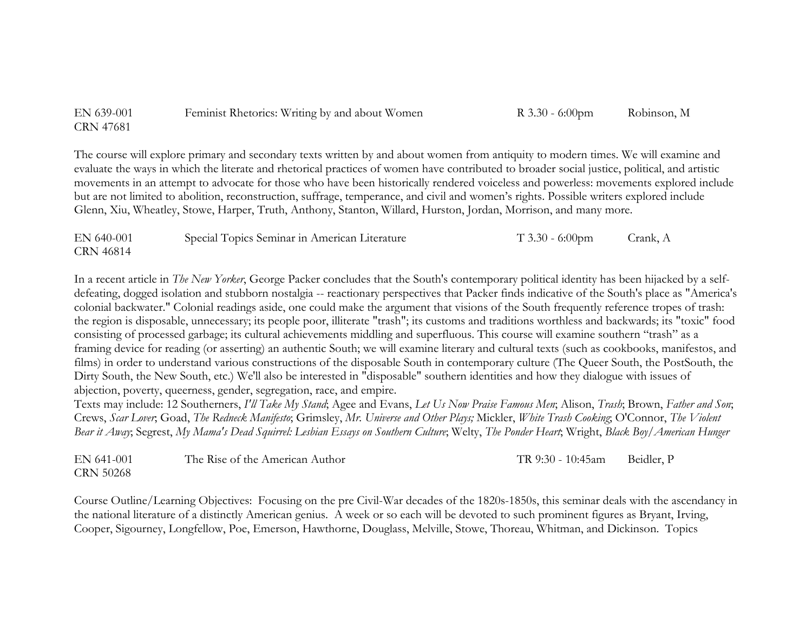| EN 639-001 | Feminist Rhetorics: Writing by and about Women | $R$ 3.30 - 6:00pm | Robinson, M |
|------------|------------------------------------------------|-------------------|-------------|
| CRN 47681  |                                                |                   |             |

The course will explore primary and secondary texts written by and about women from antiquity to modern times. We will examine and evaluate the ways in which the literate and rhetorical practices of women have contributed to broader social justice, political, and artistic movements in an attempt to advocate for those who have been historically rendered voiceless and powerless: movements explored include but are not limited to abolition, reconstruction, suffrage, temperance, and civil and women's rights. Possible writers explored include Glenn, Xiu, Wheatley, Stowe, Harper, Truth, Anthony, Stanton, Willard, Hurston, Jordan, Morrison, and many more.

| EN 640-001 | Special Topics Seminar in American Literature | $T$ 3.30 - 6:00pm | Crank, A |
|------------|-----------------------------------------------|-------------------|----------|
| CRN 46814  |                                               |                   |          |

In a recent article in *The New Yorker*, George Packer concludes that the South's contemporary political identity has been hijacked by a selfdefeating, dogged isolation and stubborn nostalgia -- reactionary perspectives that Packer finds indicative of the South's place as "America's colonial backwater." Colonial readings aside, one could make the argument that visions of the South frequently reference tropes of trash: the region is disposable, unnecessary; its people poor, illiterate "trash"; its customs and traditions worthless and backwards; its "toxic" food consisting of processed garbage; its cultural achievements middling and superfluous. This course will examine southern "trash" as a framing device for reading (or asserting) an authentic South; we will examine literary and cultural texts (such as cookbooks, manifestos, and films) in order to understand various constructions of the disposable South in contemporary culture (The Queer South, the PostSouth, the Dirty South, the New South, etc.) We'll also be interested in "disposable" southern identities and how they dialogue with issues of abjection, poverty, queerness, gender, segregation, race, and empire.

Texts may include: 12 Southerners, *I'll Take My Stand*; Agee and Evans, *Let Us Now Praise Famous Men*; Alison, *Trash*; Brown, *Father and Son*; Crews, *Scar Lover*; Goad, *The Redneck Manifesto*; Grimsley, *Mr. Universe and Other Plays;* Mickler, *White Trash Cooking*; O'Connor, *The Violent Bear it Away*; Segrest, *My Mama's Dead Squirrel: Lesbian Essays on Southern Culture*; Welty, *The Ponder Heart*; Wright, *Black Boy/American Hunger*

| EN 641-001       | The Rise of the American Author | TR 9:30 - 10:45am | Beidler, P |
|------------------|---------------------------------|-------------------|------------|
| <b>CRN 50268</b> |                                 |                   |            |

Course Outline/Learning Objectives: Focusing on the pre Civil-War decades of the 1820s-1850s, this seminar deals with the ascendancy in the national literature of a distinctly American genius. A week or so each will be devoted to such prominent figures as Bryant, Irving, Cooper, Sigourney, Longfellow, Poe, Emerson, Hawthorne, Douglass, Melville, Stowe, Thoreau, Whitman, and Dickinson. Topics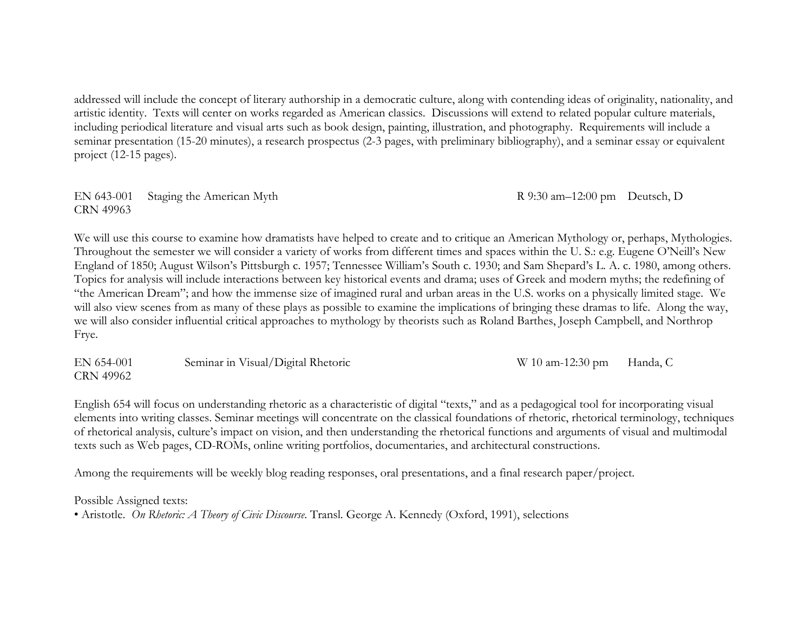addressed will include the concept of literary authorship in a democratic culture, along with contending ideas of originality, nationality, and artistic identity. Texts will center on works regarded as American classics. Discussions will extend to related popular culture materials, including periodical literature and visual arts such as book design, painting, illustration, and photography. Requirements will include a seminar presentation (15-20 minutes), a research prospectus (2-3 pages, with preliminary bibliography), and a seminar essay or equivalent project (12-15 pages).

EN 643-001 Staging the American Myth R 9:30 am–12:00 pm Deutsch, D CRN 49963

We will use this course to examine how dramatists have helped to create and to critique an American Mythology or, perhaps, Mythologies. Throughout the semester we will consider a variety of works from different times and spaces within the U. S.: e.g. Eugene O'Neill's New England of 1850; August Wilson's Pittsburgh c. 1957; Tennessee William's South c. 1930; and Sam Shepard's L. A. c. 1980, among others. Topics for analysis will include interactions between key historical events and drama; uses of Greek and modern myths; the redefining of "the American Dream"; and how the immense size of imagined rural and urban areas in the U.S. works on a physically limited stage. We will also view scenes from as many of these plays as possible to examine the implications of bringing these dramas to life. Along the way, we will also consider influential critical approaches to mythology by theorists such as Roland Barthes, Joseph Campbell, and Northrop Frye.

EN 654-001 Seminar in Visual/Digital Rhetoric W 10 am-12:30 pm Handa, C CRN 49962

English 654 will focus on understanding rhetoric as a characteristic of digital "texts," and as a pedagogical tool for incorporating visual elements into writing classes. Seminar meetings will concentrate on the classical foundations of rhetoric, rhetorical terminology, techniques of rhetorical analysis, culture's impact on vision, and then understanding the rhetorical functions and arguments of visual and multimodal texts such as Web pages, CD-ROMs, online writing portfolios, documentaries, and architectural constructions.

Among the requirements will be weekly blog reading responses, oral presentations, and a final research paper/project.

Possible Assigned texts:

• Aristotle. *On Rhetoric: A Theory of Civic Discourse*. Transl. George A. Kennedy (Oxford, 1991), selections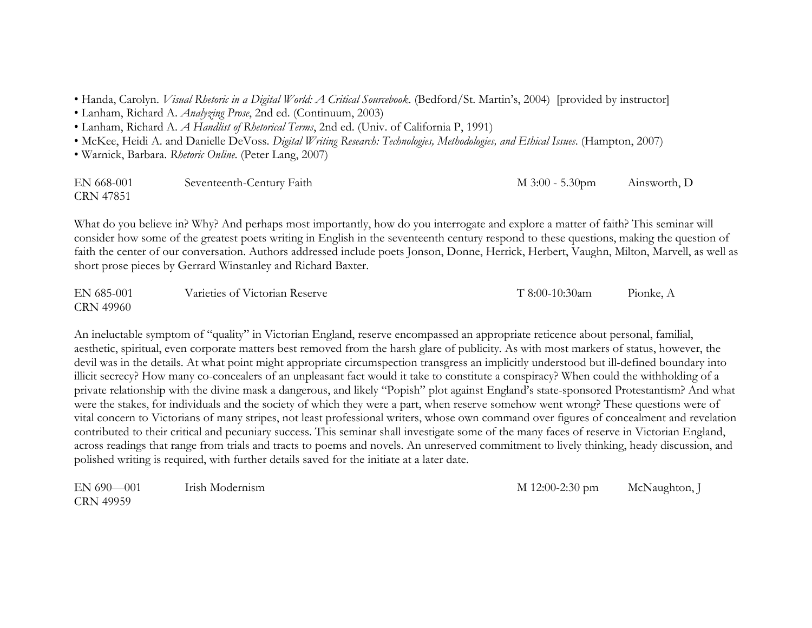• Handa, Carolyn. *Visual Rhetoric in a Digital World: A Critical Sourcebook*. (Bedford/St. Martin's, 2004) [provided by instructor]

• Lanham, Richard A. *Analyzing Prose*, 2nd ed. (Continuum, 2003)

• Lanham, Richard A. *A Handlist of Rhetorical Terms*, 2nd ed. (Univ. of California P, 1991)

• McKee, Heidi A. and Danielle DeVoss. *Digital Writing Research: Technologies, Methodologies, and Ethical Issues*. (Hampton, 2007)

• Warnick, Barbara. *Rhetoric Online*. (Peter Lang, 2007)

| EN 668-001       | Seventeenth-Century Faith | $M$ 3:00 - 5.30pm | Ainsworth, D |
|------------------|---------------------------|-------------------|--------------|
| <b>CRN 47851</b> |                           |                   |              |

What do you believe in? Why? And perhaps most importantly, how do you interrogate and explore a matter of faith? This seminar will consider how some of the greatest poets writing in English in the seventeenth century respond to these questions, making the question of faith the center of our conversation. Authors addressed include poets Jonson, Donne, Herrick, Herbert, Vaughn, Milton, Marvell, as well as short prose pieces by Gerrard Winstanley and Richard Baxter.

| EN 685-001       | Varieties of Victorian Reserve | T 8:00-10:30am | Pionke, A |
|------------------|--------------------------------|----------------|-----------|
| <b>CRN 49960</b> |                                |                |           |

An ineluctable symptom of "quality" in Victorian England, reserve encompassed an appropriate reticence about personal, familial, aesthetic, spiritual, even corporate matters best removed from the harsh glare of publicity. As with most markers of status, however, the devil was in the details. At what point might appropriate circumspection transgress an implicitly understood but ill-defined boundary into illicit secrecy? How many co-concealers of an unpleasant fact would it take to constitute a conspiracy? When could the withholding of a private relationship with the divine mask a dangerous, and likely "Popish" plot against England's state-sponsored Protestantism? And what were the stakes, for individuals and the society of which they were a part, when reserve somehow went wrong? These questions were of vital concern to Victorians of many stripes, not least professional writers, whose own command over figures of concealment and revelation contributed to their critical and pecuniary success. This seminar shall investigate some of the many faces of reserve in Victorian England, across readings that range from trials and tracts to poems and novels. An unreserved commitment to lively thinking, heady discussion, and polished writing is required, with further details saved for the initiate at a later date.

EN 690—001 Irish Modernism **Irish Modernism** M 12:00-2:30 pm McNaughton, J CRN 49959